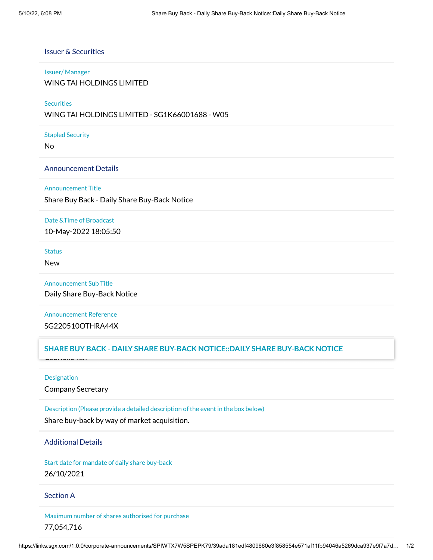# Issuer & Securities

#### Issuer/ Manager

WING TAI HOLDINGS LIMITED

## **Securities**

WING TAI HOLDINGS LIMITED - SG1K66001688 - W05

#### Stapled Security

No

## Announcement Details

### Announcement Title

Share Buy Back - Daily Share Buy-Back Notice

#### Date &Time of Broadcast

10-May-2022 18:05:50

### **Status**

New

# Announcement Sub Title

Daily Share Buy-Back Notice

# Announcement Reference SG220510OTHRA44X

# $B$ UY BACK - DAILY SHARE BUY-BACK NOTICE::DAILY SHARE BUY-BACK NOTICE

Gabrielle Tan

## Designation

Company Secretary

# Description (Please provide a detailed description of the event in the box below)

Share buy-back by way of market acquisition.

#### Additional Details

Start date for mandate of daily share buy-back 26/10/2021

## Section A

Maximum number of shares authorised for purchase 77,054,716